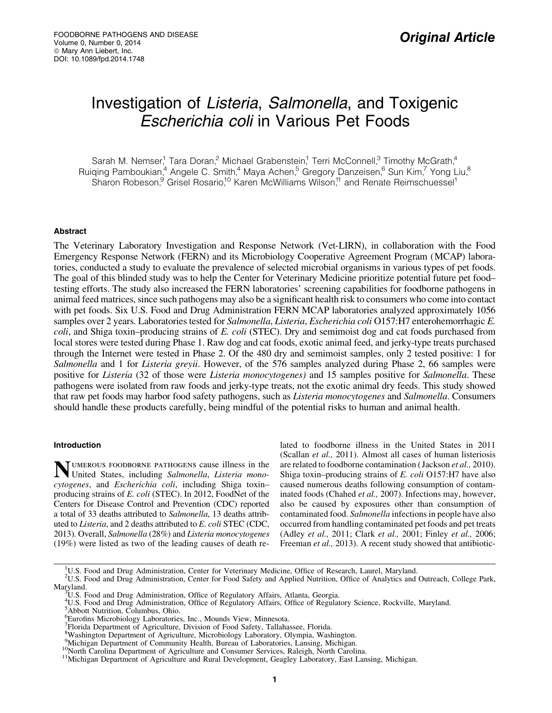# Investigation of Listeria, Salmonella, and Toxigenic Escherichia coli in Various Pet Foods

Sarah M. Nemser,<sup>1</sup> Tara Doran,<sup>2</sup> Michael Grabenstein,<sup>1</sup> Terri McConnell,<sup>3</sup> Timothy McGrath,<sup>4</sup> Ruiqing Pamboukian,<sup>4</sup> Angele C. Smith,<sup>4</sup> Maya Achen,<sup>5</sup> Gregory Danzeisen,<sup>6</sup> Sun Kim,<sup>7</sup> Yong Liu,<sup>8</sup> Sharon Robeson,<sup>9</sup> Grisel Rosario,<sup>10</sup> Karen McWilliams Wilson,<sup>11</sup> and Renate Reimschuessel<sup>1</sup>

# Abstract

The Veterinary Laboratory Investigation and Response Network (Vet-LIRN), in collaboration with the Food Emergency Response Network (FERN) and its Microbiology Cooperative Agreement Program (MCAP) laboratories, conducted a study to evaluate the prevalence of selected microbial organisms in various types of pet foods. The goal of this blinded study was to help the Center for Veterinary Medicine prioritize potential future pet food– testing efforts. The study also increased the FERN laboratories' screening capabilities for foodborne pathogens in animal feed matrices, since such pathogens may also be a significant health risk to consumers who come into contact with pet foods. Six U.S. Food and Drug Administration FERN MCAP laboratories analyzed approximately 1056 samples over 2 years. Laboratories tested for *Salmonella*, *Listeria*, *Escherichia coli* O157:H7 enterohemorrhagic *E. coli*, and Shiga toxin–producing strains of *E. coli* (STEC). Dry and semimoist dog and cat foods purchased from local stores were tested during Phase 1. Raw dog and cat foods, exotic animal feed, and jerky-type treats purchased through the Internet were tested in Phase 2. Of the 480 dry and semimoist samples, only 2 tested positive: 1 for *Salmonella* and 1 for *Listeria greyii*. However, of the 576 samples analyzed during Phase 2, 66 samples were positive for *Listeria* (32 of those were *Listeria monocytogenes)* and 15 samples positive for *Salmonella*. These pathogens were isolated from raw foods and jerky-type treats, not the exotic animal dry feeds. This study showed that raw pet foods may harbor food safety pathogens, such as *Listeria monocytogenes* and *Salmonella*. Consumers should handle these products carefully, being mindful of the potential risks to human and animal health.

## Introduction

Numerous foodborne pathogens cause illness in the United States, including *Salmonella*, *Listeria monocytogenes*, and *Escherichia coli*, including Shiga toxin– producing strains of *E. coli* (STEC). In 2012, FoodNet of the Centers for Disease Control and Prevention (CDC) reported a total of 33 deaths attributed to *Salmonella*, 13 deaths attributed to *Listeria*, and 2 deaths attributed to *E. coli* STEC (CDC, 2013). Overall, *Salmonella* (28%) and *Listeria monocytogenes* (19%) were listed as two of the leading causes of death related to foodborne illness in the United States in 2011 (Scallan *et al.,* 2011). Almost all cases of human listeriosis are related to foodborne contamination ( Jackson *et al.,* 2010). Shiga toxin–producing strains of *E. coli* O157:H7 have also caused numerous deaths following consumption of contaminated foods (Chahed *et al.,* 2007). Infections may, however, also be caused by exposures other than consumption of contaminated food. *Salmonella* infections in people have also occurred from handling contaminated pet foods and pet treats (Adley *et al.,* 2011; Clark *et al.,* 2001; Finley *et al.,* 2006; Freeman *et al.*, 2013). A recent study showed that antibiotic-

<sup>&</sup>lt;sup>1</sup>U.S. Food and Drug Administration, Center for Veterinary Medicine, Office of Research, Laurel, Maryland.

<sup>&</sup>lt;sup>2</sup>U.S. Food and Drug Administration, Center for Food Safety and Applied Nutrition, Office of Analytics and Outreach, College Park, Maryland.

U.S. Food and Drug Administration, Office of Regulatory Affairs, Atlanta, Georgia.

<sup>4</sup> U.S. Food and Drug Administration, Office of Regulatory Affairs, Office of Regulatory Science, Rockville, Maryland.

<sup>5</sup> Abbott Nutrition, Columbus, Ohio.

<sup>6</sup> Eurofins Microbiology Laboratories, Inc., Mounds View, Minnesota.

<sup>7</sup> Florida Department of Agriculture, Division of Food Safety, Tallahassee, Florida.

<sup>8</sup> Washington Department of Agriculture, Microbiology Laboratory, Olympia, Washington.

<sup>&</sup>lt;sup>9</sup> Michigan Department of Community Health, Bureau of Laboratories, Lansing, Michigan.<br><sup>10</sup> North Carolina Department of Agriculture and Consumer Services, Raleigh, North Carolina.<br><sup>11</sup> Michigan Department of Agriculture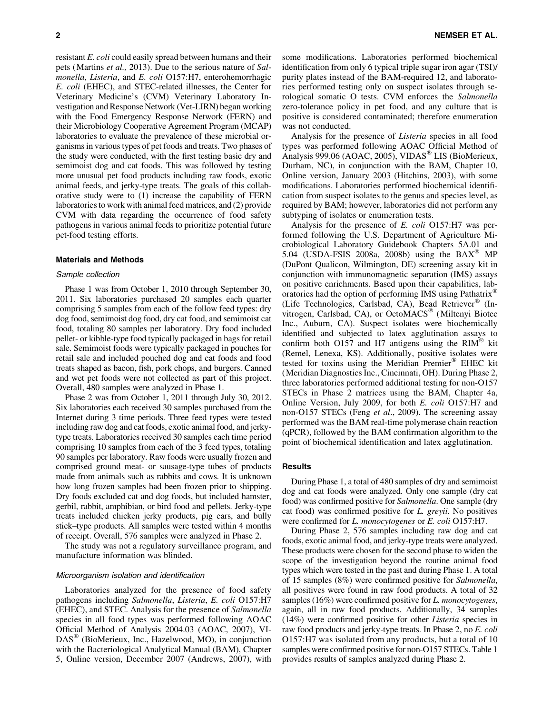resistant *E. coli* could easily spread between humans and their pets (Martins *et al.,* 2013). Due to the serious nature of *Salmonella*, *Listeria*, and *E. coli* O157:H7, enterohemorrhagic *E. coli* (EHEC), and STEC-related illnesses, the Center for Veterinary Medicine's (CVM) Veterinary Laboratory Investigation and Response Network (Vet-LIRN) began working with the Food Emergency Response Network (FERN) and their Microbiology Cooperative Agreement Program (MCAP) laboratories to evaluate the prevalence of these microbial organisms in various types of pet foods and treats. Two phases of the study were conducted, with the first testing basic dry and semimoist dog and cat foods. This was followed by testing

more unusual pet food products including raw foods, exotic animal feeds, and jerky-type treats. The goals of this collaborative study were to (1) increase the capability of FERN laboratories to work with animal feed matrices, and (2) provide CVM with data regarding the occurrence of food safety pathogens in various animal feeds to prioritize potential future pet-food testing efforts.

#### Materials and Methods

#### Sample collection

Phase 1 was from October 1, 2010 through September 30, 2011. Six laboratories purchased 20 samples each quarter comprising 5 samples from each of the follow feed types: dry dog food, semimoist dog food, dry cat food, and semimoist cat food, totaling 80 samples per laboratory. Dry food included pellet- or kibble-type food typically packaged in bags for retail sale. Semimoist foods were typically packaged in pouches for retail sale and included pouched dog and cat foods and food treats shaped as bacon, fish, pork chops, and burgers. Canned and wet pet foods were not collected as part of this project. Overall, 480 samples were analyzed in Phase 1.

Phase 2 was from October 1, 2011 through July 30, 2012. Six laboratories each received 30 samples purchased from the Internet during 3 time periods. Three feed types were tested including raw dog and cat foods, exotic animal food, and jerkytype treats. Laboratories received 30 samples each time period comprising 10 samples from each of the 3 feed types, totaling 90 samples per laboratory. Raw foods were usually frozen and comprised ground meat- or sausage-type tubes of products made from animals such as rabbits and cows. It is unknown how long frozen samples had been frozen prior to shipping. Dry foods excluded cat and dog foods, but included hamster, gerbil, rabbit, amphibian, or bird food and pellets. Jerky-type treats included chicken jerky products, pig ears, and bully stick–type products. All samples were tested within 4 months of receipt. Overall, 576 samples were analyzed in Phase 2.

The study was not a regulatory surveillance program, and manufacture information was blinded.

#### Microorganism isolation and identification

Laboratories analyzed for the presence of food safety pathogens including *Salmonella*, *Listeria*, *E. coli* O157:H7 (EHEC), and STEC. Analysis for the presence of *Salmonella* species in all food types was performed following AOAC Official Method of Analysis 2004.03 (AOAC, 2007), VI-DAS<sup>®</sup> (BioMerieux, Inc., Hazelwood, MO), in conjunction with the Bacteriological Analytical Manual (BAM), Chapter 5, Online version, December 2007 (Andrews, 2007), with some modifications. Laboratories performed biochemical identification from only 6 typical triple sugar iron agar (TSI)/ purity plates instead of the BAM-required 12, and laboratories performed testing only on suspect isolates through serological somatic O tests. CVM enforces the *Salmonella* zero-tolerance policy in pet food, and any culture that is positive is considered contaminated; therefore enumeration was not conducted.

Analysis for the presence of *Listeria* species in all food types was performed following AOAC Official Method of Analysis 999.06 (AOAC, 2005), VIDAS<sup>®</sup> LIS (BioMerieux, Durham, NC), in conjunction with the BAM, Chapter 10, Online version, January 2003 (Hitchins, 2003), with some modifications. Laboratories performed biochemical identification from suspect isolates to the genus and species level, as required by BAM; however, laboratories did not perform any subtyping of isolates or enumeration tests.

Analysis for the presence of *E. coli* O157:H7 was performed following the U.S. Department of Agriculture Microbiological Laboratory Guidebook Chapters 5A.01 and 5.04 (USDA-FSIS 2008a, 2008b) using the BAX<sup>®</sup> MP (DuPont Qualicon, Wilmington, DE) screening assay kit in conjunction with immunomagnetic separation (IMS) assays on positive enrichments. Based upon their capabilities, laboratories had the option of performing IMS using Pathatrix® (Life Technologies, Carlsbad, CA), Bead Retriever® (Invitrogen, Carlsbad, CA), or OctoMACS® (Miltenyi Biotec Inc., Auburn, CA). Suspect isolates were biochemically identified and subjected to latex agglutination assays to confirm both O157 and H7 antigens using the RIM<sup>®</sup> kit (Remel, Lenexa, KS). Additionally, positive isolates were tested for toxins using the Meridian Premier® EHEC kit (Meridian Diagnostics Inc., Cincinnati, OH). During Phase 2, three laboratories performed additional testing for non-O157 STECs in Phase 2 matrices using the BAM, Chapter 4a, Online Version, July 2009, for both *E. coli* O157:H7 and non-O157 STECs (Feng *et al*., 2009). The screening assay performed was the BAM real-time polymerase chain reaction (qPCR), followed by the BAM confirmation algorithm to the point of biochemical identification and latex agglutination.

## Results

During Phase 1, a total of 480 samples of dry and semimoist dog and cat foods were analyzed. Only one sample (dry cat food) was confirmed positive for *Salmonella*. One sample (dry cat food) was confirmed positive for *L. greyii*. No positives were confirmed for *L. monocytogenes* or *E. coli* O157:H7.

During Phase 2, 576 samples including raw dog and cat foods, exotic animal food, and jerky-type treats were analyzed. These products were chosen for the second phase to widen the scope of the investigation beyond the routine animal food types which were tested in the past and during Phase 1. A total of 15 samples (8%) were confirmed positive for *Salmonella*, all positives were found in raw food products. A total of 32 samples (16%) were confirmed positive for *L. monocytogenes*, again, all in raw food products. Additionally, 34 samples (14%) were confirmed positive for other *Listeria* species in raw food products and jerky-type treats. In Phase 2, no *E. coli* O157:H7 was isolated from any products, but a total of 10 samples were confirmed positive for non-O157 STECs. Table 1 provides results of samples analyzed during Phase 2.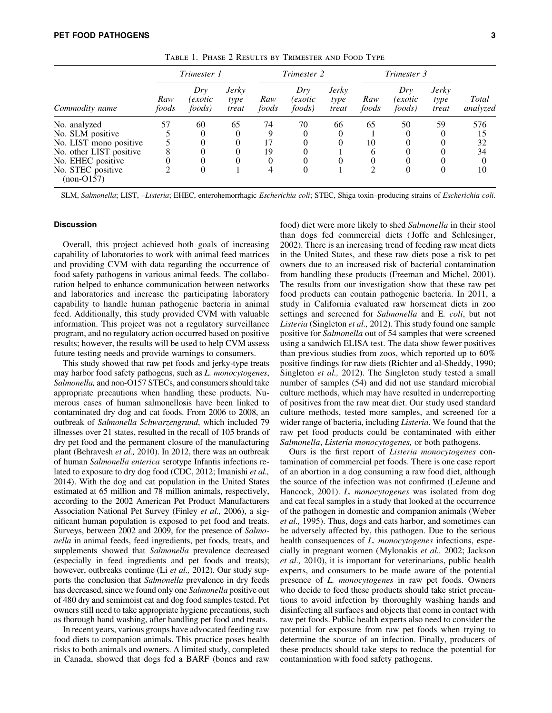| Commodity name                    | Trimester 1  |                          |                               | Trimester 2  |                                  |                               | Trimester 3  |                          |                               |                   |
|-----------------------------------|--------------|--------------------------|-------------------------------|--------------|----------------------------------|-------------------------------|--------------|--------------------------|-------------------------------|-------------------|
|                                   | Raw<br>foods | Drv<br>(exotic<br>foods) | <b>Jerky</b><br>type<br>treat | Raw<br>foods | Drv<br>(exotic<br><i>foods</i> ) | <b>Jerky</b><br>type<br>treat | Raw<br>foods | Dry<br>exotic)<br>foods) | <b>Jerky</b><br>type<br>treat | Total<br>analyzed |
| No. analyzed                      | 57           | 60                       | 65                            | 74           | 70                               | 66                            | 65           | 50                       | 59                            | 576               |
| No. SLM positive                  |              | 0                        | $\theta$                      | 9            | 0                                | $\Omega$                      |              |                          | $^{(1)}$                      | 15                |
| No. LIST mono positive            |              |                          |                               | 17           | 0                                |                               | 10           |                          |                               | 32                |
| No. other LIST positive           |              |                          |                               | 19           | 0                                |                               | 6            |                          |                               | 34                |
| No. EHEC positive                 |              |                          | 0                             | 0            | 0                                | 0                             |              |                          |                               | $\Omega$          |
| No. STEC positive<br>$(non-O157)$ |              | 0                        |                               | 4            | $\theta$                         |                               |              | $\theta$                 | $\Omega$                      | 10                |

Table 1. Phase 2 Results by Trimester and Food Type

SLM, *Salmonella*; LIST, –*Listeria*; EHEC, enterohemorrhagic *Escherichia coli*; STEC, Shiga toxin–producing strains of *Escherichia coli.*

## **Discussion**

Overall, this project achieved both goals of increasing capability of laboratories to work with animal feed matrices and providing CVM with data regarding the occurrence of food safety pathogens in various animal feeds. The collaboration helped to enhance communication between networks and laboratories and increase the participating laboratory capability to handle human pathogenic bacteria in animal feed. Additionally, this study provided CVM with valuable information. This project was not a regulatory surveillance program, and no regulatory action occurred based on positive results; however, the results will be used to help CVM assess future testing needs and provide warnings to consumers.

This study showed that raw pet foods and jerky-type treats may harbor food safety pathogens, such as *L. monocytogenes*, *Salmonella,* and non-O157 STECs, and consumers should take appropriate precautions when handling these products. Numerous cases of human salmonellosis have been linked to contaminated dry dog and cat foods. From 2006 to 2008, an outbreak of *Salmonella Schwarzengrund*, which included 79 illnesses over 21 states, resulted in the recall of 105 brands of dry pet food and the permanent closure of the manufacturing plant (Behravesh *et al.,* 2010). In 2012, there was an outbreak of human *Salmonella enterica* serotype Infantis infections related to exposure to dry dog food (CDC, 2012; Imanishi *et al.,* 2014). With the dog and cat population in the United States estimated at 65 million and 78 million animals, respectively, according to the 2002 American Pet Product Manufacturers Association National Pet Survey (Finley *et al.,* 2006), a significant human population is exposed to pet food and treats. Surveys, between 2002 and 2009, for the presence of *Salmonella* in animal feeds, feed ingredients, pet foods, treats, and supplements showed that *Salmonella* prevalence decreased (especially in feed ingredients and pet foods and treats); however, outbreaks continue (Li *et al.,* 2012). Our study supports the conclusion that *Salmonella* prevalence in dry feeds has decreased, since we found only one *Salmonella* positive out of 480 dry and semimoist cat and dog food samples tested. Pet owners still need to take appropriate hygiene precautions, such as thorough hand washing, after handling pet food and treats.

In recent years, various groups have advocated feeding raw food diets to companion animals. This practice poses health risks to both animals and owners. A limited study, completed in Canada, showed that dogs fed a BARF (bones and raw

food) diet were more likely to shed *Salmonella* in their stool than dogs fed commercial diets ( Joffe and Schlesinger, 2002). There is an increasing trend of feeding raw meat diets in the United States, and these raw diets pose a risk to pet owners due to an increased risk of bacterial contamination from handling these products (Freeman and Michel, 2001). The results from our investigation show that these raw pet food products can contain pathogenic bacteria. In 2011, a study in California evaluated raw horsemeat diets in zoo settings and screened for *Salmonella* and E*. coli*, but not *Listeria* (Singleton *et al.,* 2012). This study found one sample positive for *Salmonella* out of 54 samples that were screened using a sandwich ELISA test. The data show fewer positives than previous studies from zoos, which reported up to 60% positive findings for raw diets (Richter and al-Sheddy, 1990; Singleton *et al.,* 2012). The Singleton study tested a small number of samples (54) and did not use standard microbial culture methods, which may have resulted in underreporting of positives from the raw meat diet. Our study used standard culture methods, tested more samples, and screened for a wider range of bacteria, including *Listeria*. We found that the raw pet food products could be contaminated with either *Salmonella*, *Listeria monocytogenes,* or both pathogens.

Ours is the first report of *Listeria monocytogenes* contamination of commercial pet foods. There is one case report of an abortion in a dog consuming a raw food diet, although the source of the infection was not confirmed (LeJeune and Hancock, 2001). *L. monocytogenes* was isolated from dog and cat fecal samples in a study that looked at the occurrence of the pathogen in domestic and companion animals (Weber *et al.,* 1995). Thus, dogs and cats harbor, and sometimes can be adversely affected by, this pathogen. Due to the serious health consequences of *L. monocytogenes* infections, especially in pregnant women (Mylonakis *et al.,* 2002; Jackson *et al.,* 2010), it is important for veterinarians, public health experts, and consumers to be made aware of the potential presence of *L. monocytogenes* in raw pet foods. Owners who decide to feed these products should take strict precautions to avoid infection by thoroughly washing hands and disinfecting all surfaces and objects that come in contact with raw pet foods. Public health experts also need to consider the potential for exposure from raw pet foods when trying to determine the source of an infection. Finally, producers of these products should take steps to reduce the potential for contamination with food safety pathogens.